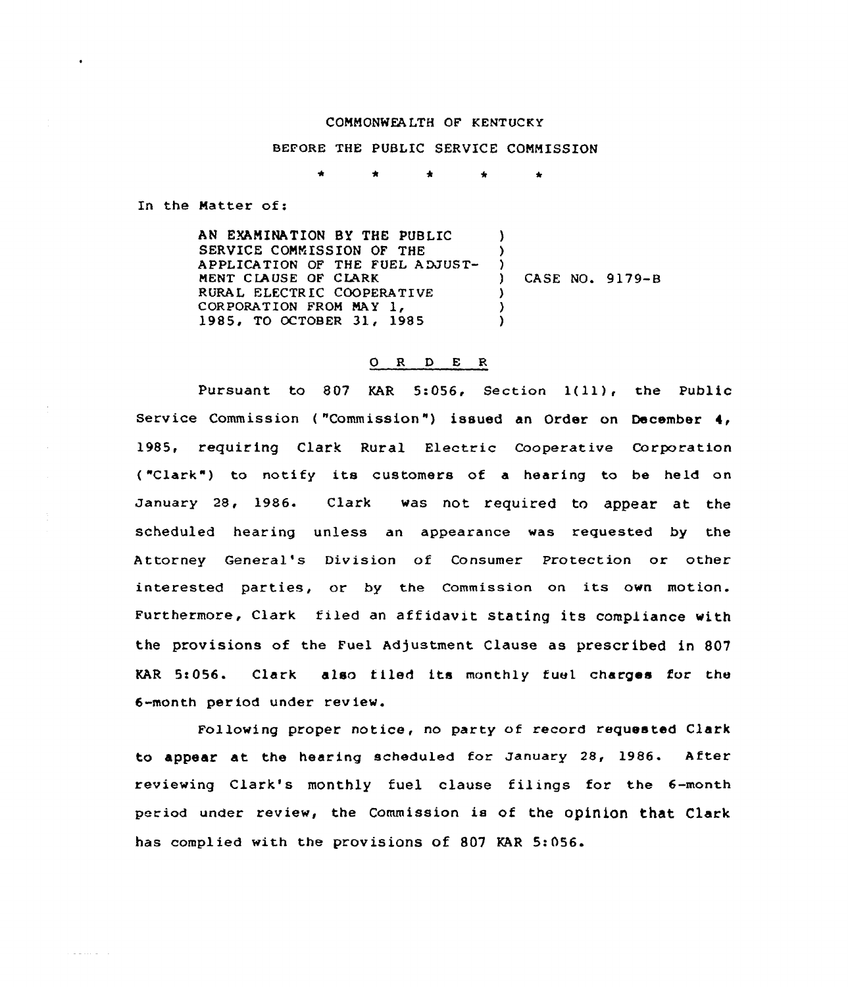## COMMONWEALTH OF KENTUCKY

## BEFORE THE PUBLIC SERVICE COMMISSION

Â.  $\Delta$  $\Delta$ 

In the Matter of:

a mana a shekara

AN EXAMINATION BY THE PUBLIC  $\lambda$ SERVICE COMMISSION OF THE ) APPLICATION OF THE FUEL ADJUST-) ) CASE NO. 9179-B MENT CLAUSE OF CLARK RURAL ELECTRIC COOPERATIVE ) CORPORATION FROM MAY 1. ) 1985, TO OCTOBER 31, 1985  $\lambda$ 

## 0 R <sup>D</sup> E <sup>R</sup>

Pursuant to 807 KAR 5:056, Section 1(11), the Public Service Commission ("Commission") issued an Order on December 4, 1985, requiring Clark Rural Electric Cooperative Corporation ("Clark") to notify its customers of a hearing to be held on January 28, 1986. Clark was not required to appear at the scheduled hearing unless an appearance was requested by the Attorney General's Division of Consumer Protection or other interested parties, or by the Commission on its own motion. Furthermore, Clark filed an affidavit stating its compliance with the provisions of the Fuel Adjustment Clause as prescribed in 807 KAR 5t056. Clark also tiled its monthly fuel charges for the 6-month period under review.

Following proper notice, no party of record requested Clark to appear at the hearing scheduled for January 28, 1986. After reviewing Clark's monthly fuel clause filings for the 6-month period under review, the commission is of the opinion that clark has complied with the provisions of 807 KAR 5:056.